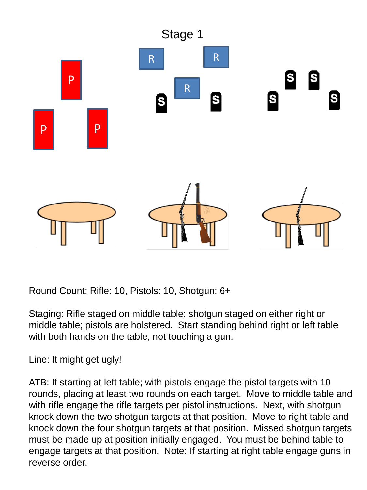

Round Count: Rifle: 10, Pistols: 10, Shotgun: 6+

Staging: Rifle staged on middle table; shotgun staged on either right or middle table; pistols are holstered. Start standing behind right or left table with both hands on the table, not touching a gun.

Line: It might get ugly!

ATB: If starting at left table; with pistols engage the pistol targets with 10 rounds, placing at least two rounds on each target. Move to middle table and with rifle engage the rifle targets per pistol instructions. Next, with shotgun knock down the two shotgun targets at that position. Move to right table and knock down the four shotgun targets at that position. Missed shotgun targets must be made up at position initially engaged. You must be behind table to engage targets at that position. Note: If starting at right table engage guns in reverse order.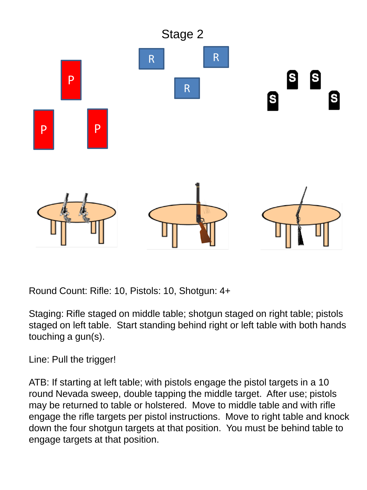

Round Count: Rifle: 10, Pistols: 10, Shotgun: 4+

Staging: Rifle staged on middle table; shotgun staged on right table; pistols staged on left table. Start standing behind right or left table with both hands touching a gun(s).

Line: Pull the trigger!

ATB: If starting at left table; with pistols engage the pistol targets in a 10 round Nevada sweep, double tapping the middle target. After use; pistols may be returned to table or holstered. Move to middle table and with rifle engage the rifle targets per pistol instructions. Move to right table and knock down the four shotgun targets at that position. You must be behind table to engage targets at that position.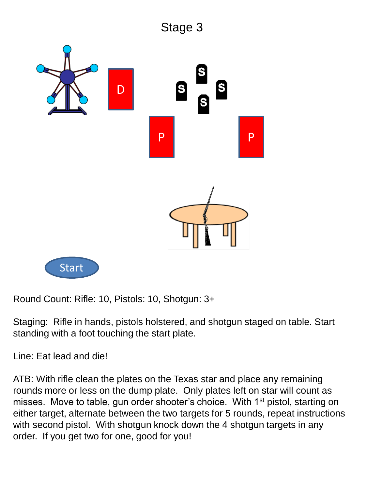

Round Count: Rifle: 10, Pistols: 10, Shotgun: 3+

Staging: Rifle in hands, pistols holstered, and shotgun staged on table. Start standing with a foot touching the start plate.

Line: Eat lead and die!

ATB: With rifle clean the plates on the Texas star and place any remaining rounds more or less on the dump plate. Only plates left on star will count as misses. Move to table, gun order shooter's choice. With 1<sup>st</sup> pistol, starting on either target, alternate between the two targets for 5 rounds, repeat instructions with second pistol. With shotgun knock down the 4 shotgun targets in any order. If you get two for one, good for you!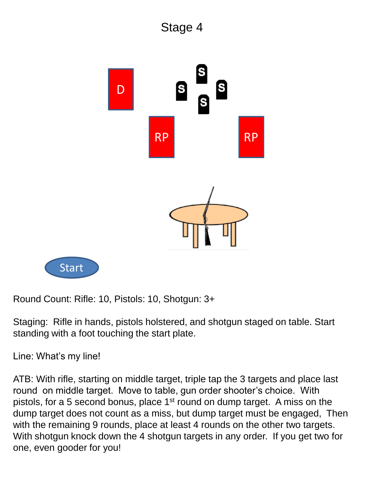



Round Count: Rifle: 10, Pistols: 10, Shotgun: 3+

Staging: Rifle in hands, pistols holstered, and shotgun staged on table. Start standing with a foot touching the start plate.

Line: What's my line!

ATB: With rifle, starting on middle target, triple tap the 3 targets and place last round on middle target. Move to table, gun order shooter's choice. With pistols, for a 5 second bonus, place 1<sup>st</sup> round on dump target. A miss on the dump target does not count as a miss, but dump target must be engaged, Then with the remaining 9 rounds, place at least 4 rounds on the other two targets. With shotgun knock down the 4 shotgun targets in any order. If you get two for one, even gooder for you!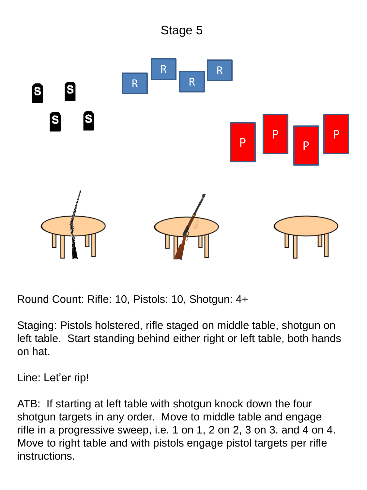

Round Count: Rifle: 10, Pistols: 10, Shotgun: 4+

Staging: Pistols holstered, rifle staged on middle table, shotgun on left table. Start standing behind either right or left table, both hands on hat.

Line: Let'er rip!

ATB: If starting at left table with shotgun knock down the four shotgun targets in any order. Move to middle table and engage rifle in a progressive sweep, i.e. 1 on 1, 2 on 2, 3 on 3. and 4 on 4. Move to right table and with pistols engage pistol targets per rifle instructions.